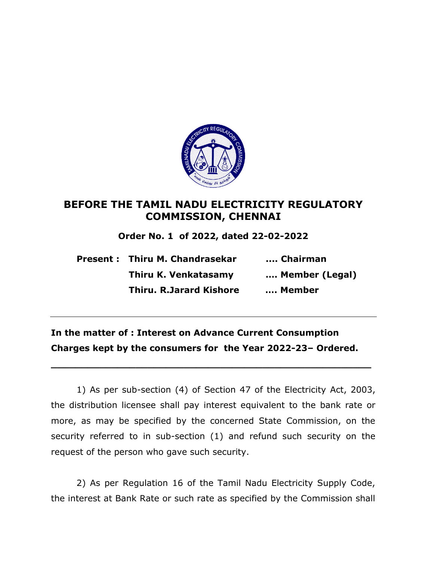

## **BEFORE THE TAMIL NADU ELECTRICITY REGULATORY COMMISSION, CHENNAI**

**Order No. 1 of 2022, dated 22-02-2022**

|  | Present : Thiru M. Chandrasekar | Chairman       |
|--|---------------------------------|----------------|
|  | Thiru K. Venkatasamy            | Member (Legal) |
|  | <b>Thiru. R.Jarard Kishore</b>  | Member         |

## **In the matter of : Interest on Advance Current Consumption Charges kept by the consumers for the Year 2022-23– Ordered.**

**\_\_\_\_\_\_\_\_\_\_\_\_\_\_\_\_\_\_\_\_\_\_\_\_\_\_\_\_\_\_\_\_\_\_\_\_\_\_\_\_\_\_\_\_\_\_\_\_\_\_\_\_\_**

1) As per sub-section (4) of Section 47 of the Electricity Act, 2003, the distribution licensee shall pay interest equivalent to the bank rate or more, as may be specified by the concerned State Commission, on the security referred to in sub-section (1) and refund such security on the request of the person who gave such security.

2) As per Regulation 16 of the Tamil Nadu Electricity Supply Code, the interest at Bank Rate or such rate as specified by the Commission shall